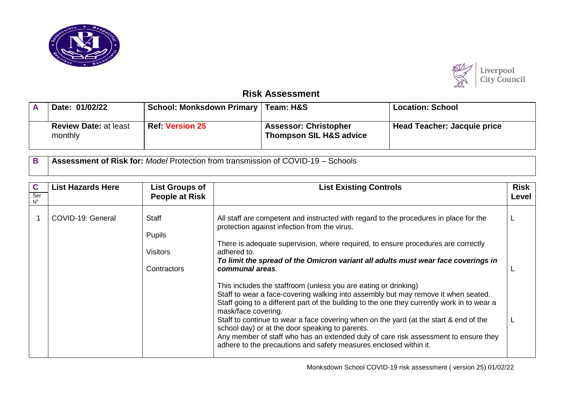



## **Risk Assessment**

| Date: 01/02/22                          | School: Monksdown Primary   Team: H&S |                                                                    | <b>Location: School</b>            |  |
|-----------------------------------------|---------------------------------------|--------------------------------------------------------------------|------------------------------------|--|
| <b>Review Date: at least</b><br>monthly | <b>Ref: Version 25</b>                | <b>Assessor: Christopher</b><br><b>Thompson SIL H&amp;S advice</b> | <b>Head Teacher: Jacquie price</b> |  |

**B Assessment of Risk for:** *Model* Protection from transmission of COVID-19 – Schools

| C<br>Ser<br>$\mathsf{N}^\mathsf{o}$ | <b>List Hazards Here</b> | <b>List Groups of</b><br><b>People at Risk</b>           | <b>List Existing Controls</b>                                                                                                                                                                                                                                                                                                                                                                                                                                                                                                                                                                                                                                                                                                                                                                                                                                                                                                            | <b>Risk</b><br>Level |
|-------------------------------------|--------------------------|----------------------------------------------------------|------------------------------------------------------------------------------------------------------------------------------------------------------------------------------------------------------------------------------------------------------------------------------------------------------------------------------------------------------------------------------------------------------------------------------------------------------------------------------------------------------------------------------------------------------------------------------------------------------------------------------------------------------------------------------------------------------------------------------------------------------------------------------------------------------------------------------------------------------------------------------------------------------------------------------------------|----------------------|
|                                     | COVID-19: General        | <b>Staff</b><br>Pupils<br><b>Visitors</b><br>Contractors | All staff are competent and instructed with regard to the procedures in place for the<br>protection against infection from the virus.<br>There is adequate supervision, where required, to ensure procedures are correctly<br>adhered to.<br>To limit the spread of the Omicron variant all adults must wear face coverings in<br>communal areas.<br>This includes the staffroom (unless you are eating or drinking)<br>Staff to wear a face-covering walking into assembly but may remove it when seated.<br>Staff going to a different part of the building to the one they currently work in to wear a<br>mask/face covering.<br>Staff to continue to wear a face covering when on the yard (at the start & end of the<br>school day) or at the door speaking to parents.<br>Any member of staff who has an extended duty of care risk assessment to ensure they<br>adhere to the precautions and safety measures enclosed within it. |                      |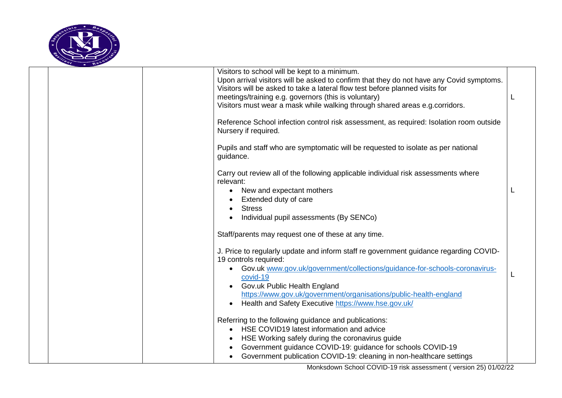

|  |                                                | Visitors to school will be kept to a minimum.<br>Upon arrival visitors will be asked to confirm that they do not have any Covid symptoms.<br>Visitors will be asked to take a lateral flow test before planned visits for<br>meetings/training e.g. governors (this is voluntary)<br>Visitors must wear a mask while walking through shared areas e.g. corridors. |  |
|--|------------------------------------------------|-------------------------------------------------------------------------------------------------------------------------------------------------------------------------------------------------------------------------------------------------------------------------------------------------------------------------------------------------------------------|--|
|  | Nursery if required.                           | Reference School infection control risk assessment, as required: Isolation room outside                                                                                                                                                                                                                                                                           |  |
|  | guidance.                                      | Pupils and staff who are symptomatic will be requested to isolate as per national                                                                                                                                                                                                                                                                                 |  |
|  | relevant:<br>$\bullet$<br><b>Stress</b>        | Carry out review all of the following applicable individual risk assessments where<br>New and expectant mothers<br>Extended duty of care<br>Individual pupil assessments (By SENCo)                                                                                                                                                                               |  |
|  |                                                | Staff/parents may request one of these at any time.                                                                                                                                                                                                                                                                                                               |  |
|  | 19 controls required:<br>covid-19<br>$\bullet$ | J. Price to regularly update and inform staff re government guidance regarding COVID-<br>Gov.uk www.gov.uk/government/collections/guidance-for-schools-coronavirus-<br>Gov.uk Public Health England<br>https://www.gov.uk/government/organisations/public-health-england<br>Health and Safety Executive https://www.hse.gov.uk/                                   |  |
|  |                                                | Referring to the following guidance and publications:<br>HSE COVID19 latest information and advice<br>HSE Working safely during the coronavirus guide<br>Government guidance COVID-19: guidance for schools COVID-19<br>Government publication COVID-19: cleaning in non-healthcare settings                                                                      |  |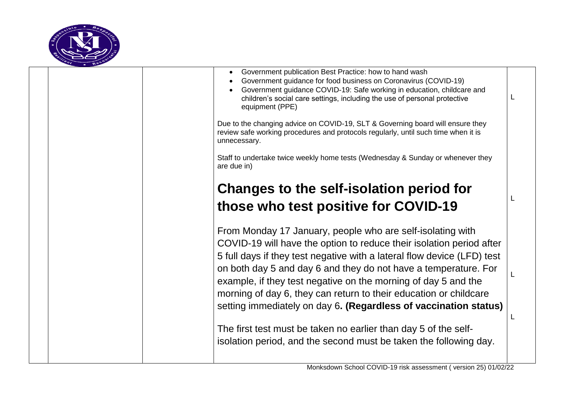

|  | Government publication Best Practice: how to hand wash<br>Government guidance for food business on Coronavirus (COVID-19)<br>Government guidance COVID-19: Safe working in education, childcare and<br>children's social care settings, including the use of personal protective<br>equipment (PPE) |  |
|--|-----------------------------------------------------------------------------------------------------------------------------------------------------------------------------------------------------------------------------------------------------------------------------------------------------|--|
|  | Due to the changing advice on COVID-19, SLT & Governing board will ensure they<br>review safe working procedures and protocols regularly, until such time when it is<br>unnecessary.                                                                                                                |  |
|  | Staff to undertake twice weekly home tests (Wednesday & Sunday or whenever they<br>are due in)                                                                                                                                                                                                      |  |
|  | <b>Changes to the self-isolation period for</b>                                                                                                                                                                                                                                                     |  |
|  | those who test positive for COVID-19                                                                                                                                                                                                                                                                |  |
|  | From Monday 17 January, people who are self-isolating with<br>COVID-19 will have the option to reduce their isolation period after<br>5 full days if they test negative with a lateral flow device (LFD) test<br>on both day 5 and day 6 and they do not have a temperature. For                    |  |
|  | example, if they test negative on the morning of day 5 and the<br>morning of day 6, they can return to their education or childcare<br>setting immediately on day 6. (Regardless of vaccination status)                                                                                             |  |
|  | The first test must be taken no earlier than day 5 of the self-                                                                                                                                                                                                                                     |  |
|  | isolation period, and the second must be taken the following day.                                                                                                                                                                                                                                   |  |
|  |                                                                                                                                                                                                                                                                                                     |  |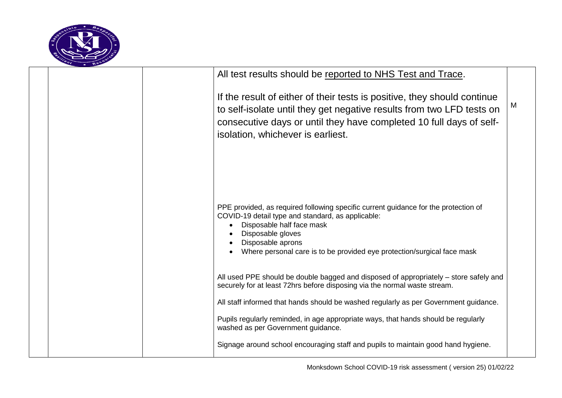

|  | All test results should be reported to NHS Test and Trace.                                                                                                                                                                                                                                 |   |
|--|--------------------------------------------------------------------------------------------------------------------------------------------------------------------------------------------------------------------------------------------------------------------------------------------|---|
|  | If the result of either of their tests is positive, they should continue<br>to self-isolate until they get negative results from two LFD tests on<br>consecutive days or until they have completed 10 full days of self-<br>isolation, whichever is earliest.                              | M |
|  |                                                                                                                                                                                                                                                                                            |   |
|  | PPE provided, as required following specific current guidance for the protection of<br>COVID-19 detail type and standard, as applicable:<br>Disposable half face mask<br>Disposable gloves<br>Disposable aprons<br>Where personal care is to be provided eye protection/surgical face mask |   |
|  | All used PPE should be double bagged and disposed of appropriately – store safely and<br>securely for at least 72hrs before disposing via the normal waste stream.                                                                                                                         |   |
|  | All staff informed that hands should be washed regularly as per Government guidance.                                                                                                                                                                                                       |   |
|  | Pupils regularly reminded, in age appropriate ways, that hands should be regularly<br>washed as per Government guidance.                                                                                                                                                                   |   |
|  | Signage around school encouraging staff and pupils to maintain good hand hygiene.                                                                                                                                                                                                          |   |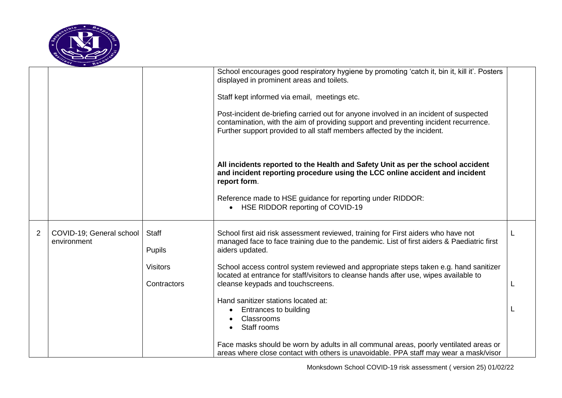

|                  |                          |                                                                 | Post-incident de-briefing carried out for anyone involved in an incident of suspected<br>contamination, with the aim of providing support and preventing incident recurrence.<br>Further support provided to all staff members affected by the incident.<br>All incidents reported to the Health and Safety Unit as per the school accident<br>and incident reporting procedure using the LCC online accident and incident<br>report form.<br>Reference made to HSE guidance for reporting under RIDDOR:<br>HSE RIDDOR reporting of COVID-19<br>$\bullet$                                                                                                                                                                           |  |
|------------------|--------------------------|-----------------------------------------------------------------|-------------------------------------------------------------------------------------------------------------------------------------------------------------------------------------------------------------------------------------------------------------------------------------------------------------------------------------------------------------------------------------------------------------------------------------------------------------------------------------------------------------------------------------------------------------------------------------------------------------------------------------------------------------------------------------------------------------------------------------|--|
| 2<br>environment | COVID-19; General school | <b>Staff</b><br><b>Pupils</b><br><b>Visitors</b><br>Contractors | School first aid risk assessment reviewed, training for First aiders who have not<br>managed face to face training due to the pandemic. List of first aiders & Paediatric first<br>aiders updated.<br>School access control system reviewed and appropriate steps taken e.g. hand sanitizer<br>located at entrance for staff/visitors to cleanse hands after use, wipes available to<br>cleanse keypads and touchscreens.<br>Hand sanitizer stations located at:<br><b>Entrances to building</b><br>$\bullet$<br><b>Classrooms</b><br>Staff rooms<br>Face masks should be worn by adults in all communal areas, poorly ventilated areas or<br>areas where close contact with others is unavoidable. PPA staff may wear a mask/visor |  |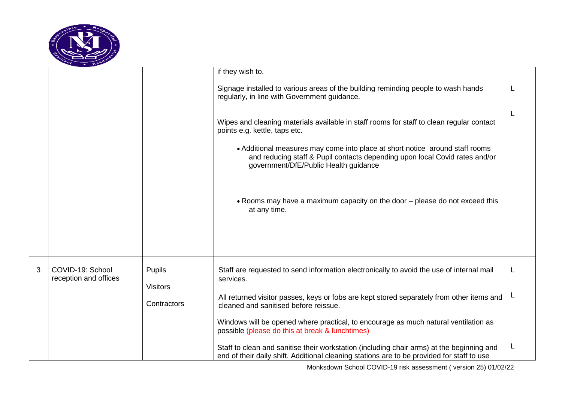

|   |                                           |                                  | if they wish to.                                                                                                                                                                                                                                                                                                                  |  |
|---|-------------------------------------------|----------------------------------|-----------------------------------------------------------------------------------------------------------------------------------------------------------------------------------------------------------------------------------------------------------------------------------------------------------------------------------|--|
|   |                                           |                                  | Signage installed to various areas of the building reminding people to wash hands<br>regularly, in line with Government guidance.                                                                                                                                                                                                 |  |
|   |                                           |                                  | Wipes and cleaning materials available in staff rooms for staff to clean regular contact<br>points e.g. kettle, taps etc.<br>• Additional measures may come into place at short notice around staff rooms<br>and reducing staff & Pupil contacts depending upon local Covid rates and/or<br>government/DfE/Public Health guidance |  |
|   |                                           |                                  | . Rooms may have a maximum capacity on the door - please do not exceed this<br>at any time.                                                                                                                                                                                                                                       |  |
| 3 | COVID-19: School<br>reception and offices | <b>Pupils</b><br><b>Visitors</b> | Staff are requested to send information electronically to avoid the use of internal mail<br>services.                                                                                                                                                                                                                             |  |
|   |                                           | Contractors                      | All returned visitor passes, keys or fobs are kept stored separately from other items and<br>cleaned and sanitised before reissue.                                                                                                                                                                                                |  |
|   |                                           |                                  | Windows will be opened where practical, to encourage as much natural ventilation as<br>possible (please do this at break & lunchtimes)                                                                                                                                                                                            |  |
|   |                                           |                                  | Staff to clean and sanitise their workstation (including chair arms) at the beginning and<br>end of their daily shift. Additional cleaning stations are to be provided for staff to use                                                                                                                                           |  |

Monksdown School COVID-19 risk assessment ( version 25) 01/02/22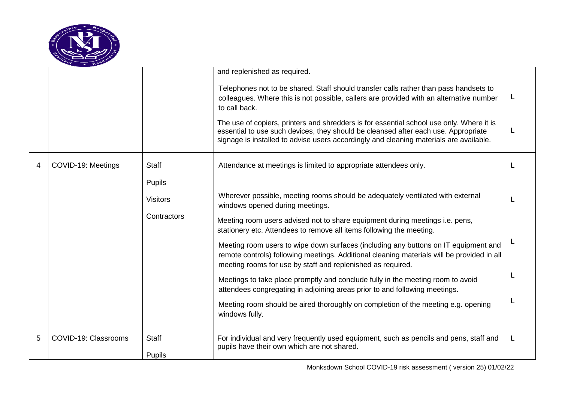

|   |                      |                 | and replenished as required.                                                                                                                                                                                                                                             |   |
|---|----------------------|-----------------|--------------------------------------------------------------------------------------------------------------------------------------------------------------------------------------------------------------------------------------------------------------------------|---|
|   |                      |                 | Telephones not to be shared. Staff should transfer calls rather than pass handsets to<br>colleagues. Where this is not possible, callers are provided with an alternative number<br>to call back.                                                                        | L |
|   |                      |                 | The use of copiers, printers and shredders is for essential school use only. Where it is<br>essential to use such devices, they should be cleansed after each use. Appropriate<br>signage is installed to advise users accordingly and cleaning materials are available. |   |
| 4 | COVID-19: Meetings   | <b>Staff</b>    | Attendance at meetings is limited to appropriate attendees only.                                                                                                                                                                                                         |   |
|   |                      | <b>Pupils</b>   |                                                                                                                                                                                                                                                                          |   |
|   |                      | <b>Visitors</b> | Wherever possible, meeting rooms should be adequately ventilated with external<br>windows opened during meetings.                                                                                                                                                        |   |
|   |                      | Contractors     | Meeting room users advised not to share equipment during meetings i.e. pens,<br>stationery etc. Attendees to remove all items following the meeting.                                                                                                                     |   |
|   |                      |                 | Meeting room users to wipe down surfaces (including any buttons on IT equipment and<br>remote controls) following meetings. Additional cleaning materials will be provided in all<br>meeting rooms for use by staff and replenished as required.                         |   |
|   |                      |                 | Meetings to take place promptly and conclude fully in the meeting room to avoid<br>attendees congregating in adjoining areas prior to and following meetings.                                                                                                            |   |
|   |                      |                 | Meeting room should be aired thoroughly on completion of the meeting e.g. opening<br>windows fully.                                                                                                                                                                      |   |
| 5 | COVID-19: Classrooms | <b>Staff</b>    | For individual and very frequently used equipment, such as pencils and pens, staff and<br>pupils have their own which are not shared.                                                                                                                                    | L |
|   |                      | <b>Pupils</b>   |                                                                                                                                                                                                                                                                          |   |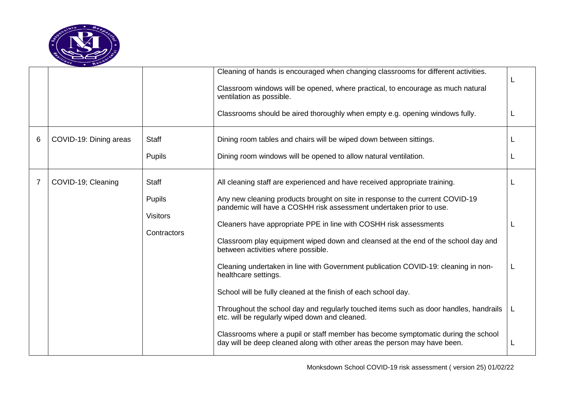

|   |                        |                                                                 | Cleaning of hands is encouraged when changing classrooms for different activities.<br>Classroom windows will be opened, where practical, to encourage as much natural<br>ventilation as possible.<br>Classrooms should be aired thoroughly when empty e.g. opening windows fully.                                                                                                                                                                                                                                                                                                                                                                                                                                                                                                                                                                                                                                               |   |
|---|------------------------|-----------------------------------------------------------------|---------------------------------------------------------------------------------------------------------------------------------------------------------------------------------------------------------------------------------------------------------------------------------------------------------------------------------------------------------------------------------------------------------------------------------------------------------------------------------------------------------------------------------------------------------------------------------------------------------------------------------------------------------------------------------------------------------------------------------------------------------------------------------------------------------------------------------------------------------------------------------------------------------------------------------|---|
| 6 | COVID-19: Dining areas | <b>Staff</b><br><b>Pupils</b>                                   | Dining room tables and chairs will be wiped down between sittings.<br>Dining room windows will be opened to allow natural ventilation.                                                                                                                                                                                                                                                                                                                                                                                                                                                                                                                                                                                                                                                                                                                                                                                          |   |
| 7 | COVID-19; Cleaning     | <b>Staff</b><br><b>Pupils</b><br><b>Visitors</b><br>Contractors | All cleaning staff are experienced and have received appropriate training.<br>Any new cleaning products brought on site in response to the current COVID-19<br>pandemic will have a COSHH risk assessment undertaken prior to use.<br>Cleaners have appropriate PPE in line with COSHH risk assessments<br>Classroom play equipment wiped down and cleansed at the end of the school day and<br>between activities where possible.<br>Cleaning undertaken in line with Government publication COVID-19: cleaning in non-<br>healthcare settings.<br>School will be fully cleaned at the finish of each school day.<br>Throughout the school day and regularly touched items such as door handles, handrails<br>etc. will be regularly wiped down and cleaned.<br>Classrooms where a pupil or staff member has become symptomatic during the school<br>day will be deep cleaned along with other areas the person may have been. | L |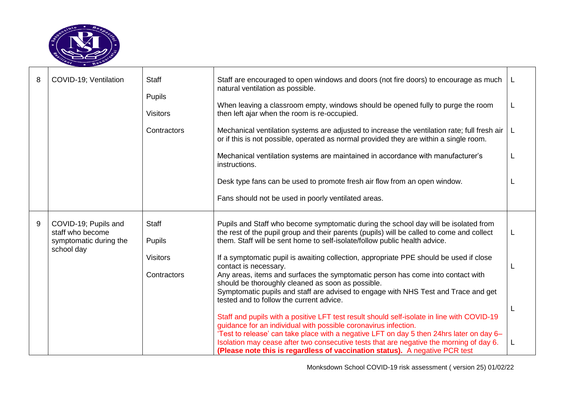

| 8 | COVID-19; Ventilation                                                            | <b>Staff</b><br>Pupils<br><b>Visitors</b><br>Contractors | Staff are encouraged to open windows and doors (not fire doors) to encourage as much<br>natural ventilation as possible.<br>When leaving a classroom empty, windows should be opened fully to purge the room<br>then left ajar when the room is re-occupied.<br>Mechanical ventilation systems are adjusted to increase the ventilation rate; full fresh air<br>or if this is not possible, operated as normal provided they are within a single room.<br>Mechanical ventilation systems are maintained in accordance with manufacturer's<br>instructions.<br>Desk type fans can be used to promote fresh air flow from an open window.<br>Fans should not be used in poorly ventilated areas.                                                                                                                                                                                                                                                                                                                                                                                                     | -L |
|---|----------------------------------------------------------------------------------|----------------------------------------------------------|----------------------------------------------------------------------------------------------------------------------------------------------------------------------------------------------------------------------------------------------------------------------------------------------------------------------------------------------------------------------------------------------------------------------------------------------------------------------------------------------------------------------------------------------------------------------------------------------------------------------------------------------------------------------------------------------------------------------------------------------------------------------------------------------------------------------------------------------------------------------------------------------------------------------------------------------------------------------------------------------------------------------------------------------------------------------------------------------------|----|
| 9 | COVID-19; Pupils and<br>staff who become<br>symptomatic during the<br>school day | <b>Staff</b><br>Pupils<br><b>Visitors</b><br>Contractors | Pupils and Staff who become symptomatic during the school day will be isolated from<br>the rest of the pupil group and their parents (pupils) will be called to come and collect<br>them. Staff will be sent home to self-isolate/follow public health advice.<br>If a symptomatic pupil is awaiting collection, appropriate PPE should be used if close<br>contact is necessary.<br>Any areas, items and surfaces the symptomatic person has come into contact with<br>should be thoroughly cleaned as soon as possible.<br>Symptomatic pupils and staff are advised to engage with NHS Test and Trace and get<br>tested and to follow the current advice.<br>Staff and pupils with a positive LFT test result should self-isolate in line with COVID-19<br>guidance for an individual with possible coronavirus infection.<br>'Test to release' can take place with a negative LFT on day 5 then 24hrs later on day 6-<br>Isolation may cease after two consecutive tests that are negative the morning of day 6.<br>(Please note this is regardless of vaccination status). A negative PCR test |    |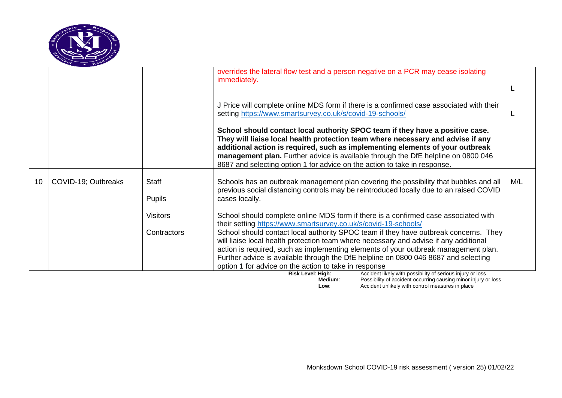

|    |                     |                               | overrides the lateral flow test and a person negative on a PCR may cease isolating<br>immediately.                                                                                                                                                                                                                                                                                                                  |     |
|----|---------------------|-------------------------------|---------------------------------------------------------------------------------------------------------------------------------------------------------------------------------------------------------------------------------------------------------------------------------------------------------------------------------------------------------------------------------------------------------------------|-----|
|    |                     |                               |                                                                                                                                                                                                                                                                                                                                                                                                                     |     |
|    |                     |                               | J Price will complete online MDS form if there is a confirmed case associated with their<br>setting https://www.smartsurvey.co.uk/s/covid-19-schools/                                                                                                                                                                                                                                                               |     |
|    |                     |                               | School should contact local authority SPOC team if they have a positive case.<br>They will liaise local health protection team where necessary and advise if any<br>additional action is required, such as implementing elements of your outbreak<br>management plan. Further advice is available through the DfE helpline on 0800 046<br>8687 and selecting option 1 for advice on the action to take in response. |     |
| 10 | COVID-19; Outbreaks | <b>Staff</b><br><b>Pupils</b> | Schools has an outbreak management plan covering the possibility that bubbles and all<br>previous social distancing controls may be reintroduced locally due to an raised COVID<br>cases locally.                                                                                                                                                                                                                   | M/L |
|    |                     | <b>Visitors</b>               | School should complete online MDS form if there is a confirmed case associated with<br>their setting https://www.smartsurvey.co.uk/s/covid-19-schools/                                                                                                                                                                                                                                                              |     |
|    |                     | Contractors                   | School should contact local authority SPOC team if they have outbreak concerns. They<br>will liaise local health protection team where necessary and advise if any additional                                                                                                                                                                                                                                       |     |
|    |                     |                               | action is required, such as implementing elements of your outbreak management plan.<br>Further advice is available through the DfE helpline on 0800 046 8687 and selecting                                                                                                                                                                                                                                          |     |
|    |                     |                               | option 1 for advice on the action to take in response                                                                                                                                                                                                                                                                                                                                                               |     |
|    |                     |                               | Accident likely with possibility of serious injury or loss<br>Risk Level: High:                                                                                                                                                                                                                                                                                                                                     |     |

**Medium:** Possibility of accident occurring causing minor injury or loss **Low**: **Conserve Accident unlikely with control measures in place**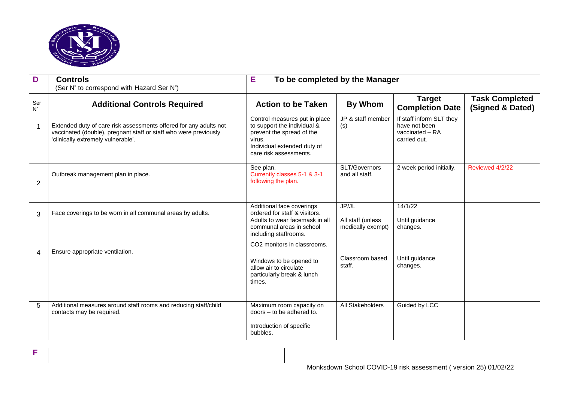

| D                  | <b>Controls</b><br>(Ser N° to correspond with Hazard Ser N°)                                                                                                                | E<br>To be completed by the Manager                                                                                                                          |                                                 |                                                                              |                                           |
|--------------------|-----------------------------------------------------------------------------------------------------------------------------------------------------------------------------|--------------------------------------------------------------------------------------------------------------------------------------------------------------|-------------------------------------------------|------------------------------------------------------------------------------|-------------------------------------------|
| Ser<br>$N^{\circ}$ | <b>Additional Controls Required</b>                                                                                                                                         | <b>Action to be Taken</b>                                                                                                                                    | <b>By Whom</b>                                  | <b>Target</b><br><b>Completion Date</b>                                      | <b>Task Completed</b><br>(Signed & Dated) |
| 1                  | Extended duty of care risk assessments offered for any adults not<br>vaccinated (double), pregnant staff or staff who were previously<br>'clinically extremely vulnerable'. | Control measures put in place<br>to support the individual &<br>prevent the spread of the<br>virus.<br>Individual extended duty of<br>care risk assessments. | JP & staff member<br>(s)                        | If staff inform SLT they<br>have not been<br>vaccinated - RA<br>carried out. |                                           |
| 2                  | Outbreak management plan in place.                                                                                                                                          | See plan.<br>Currently classes 5-1 & 3-1<br>following the plan.                                                                                              | SLT/Governors<br>and all staff.                 | 2 week period initially.                                                     | Reviewed 4/2/22                           |
| 3                  | Face coverings to be worn in all communal areas by adults.                                                                                                                  | Additional face coverings<br>ordered for staff & visitors.<br>Adults to wear facemask in all<br>communal areas in school<br>including staffrooms.            | JP/JL<br>All staff (unless<br>medically exempt) | 14/1/22<br>Until guidance<br>changes.                                        |                                           |
| 4                  | Ensure appropriate ventilation.                                                                                                                                             | CO <sub>2</sub> monitors in classrooms.<br>Windows to be opened to<br>allow air to circulate<br>particularly break & lunch<br>times.                         | Classroom based<br>staff.                       | Until guidance<br>changes.                                                   |                                           |
| 5                  | Additional measures around staff rooms and reducing staff/child<br>contacts may be required.                                                                                | Maximum room capacity on<br>doors - to be adhered to.<br>Introduction of specific<br>bubbles.                                                                | All Stakeholders                                | Guided by LCC                                                                |                                           |